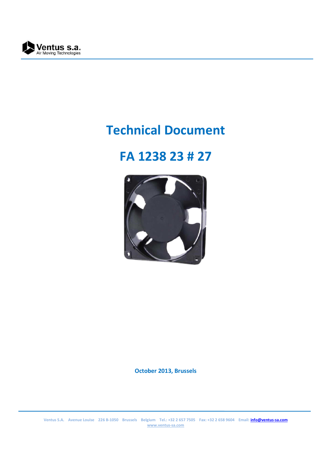

# **Technical Document**

## **FA 1238 23 # 27**



**October 2013, Brussels**